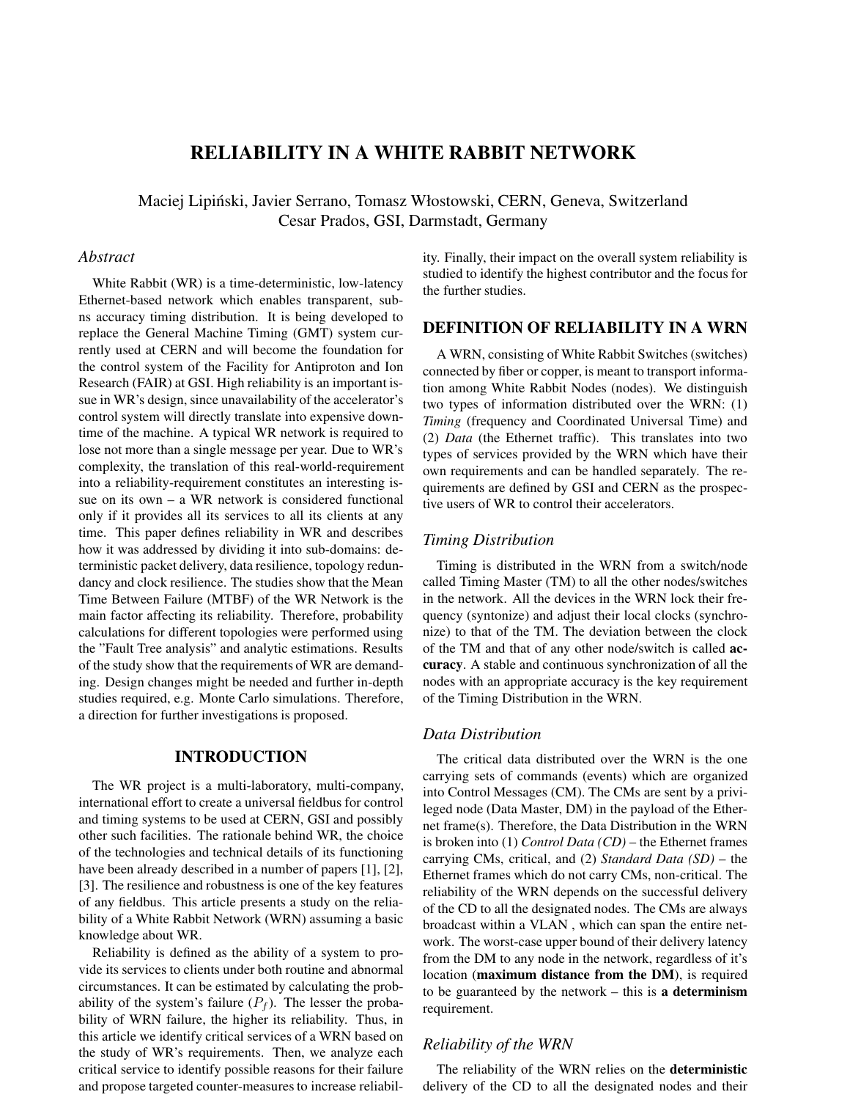# **RELIABILITY IN A WHITE RABBIT NETWORK**

Maciej Lipiński, Javier Serrano, Tomasz Włostowski, CERN, Geneva, Switzerland Cesar Prados, GSI, Darmstadt, Germany

### *Abstract*

White Rabbit (WR) is a time-deterministic, low-latency Ethernet-based network which enables transparent, subns accuracy timing distribution. It is being developed to replace the General Machine Timing (GMT) system currently used at CERN and will become the foundation for the control system of the Facility for Antiproton and Ion Research (FAIR) at GSI. High reliability is an important issue in WR's design, since unavailability of the accelerator's control system will directly translate into expensive downtime of the machine. A typical WR network is required to lose not more than a single message per year. Due to WR's complexity, the translation of this real-world-requirement into a reliability-requirement constitutes an interesting issue on its own – a WR network is considered functional only if it provides all its services to all its clients at any time. This paper defines reliability in WR and describes how it was addressed by dividing it into sub-domains: deterministic packet delivery, data resilience, topology redundancy and clock resilience. The studies show that the Mean Time Between Failure (MTBF) of the WR Network is the main factor affecting its reliability. Therefore, probability calculations for different topologies were performed using the "Fault Tree analysis" and analytic estimations. Results of the study show that the requirements of WR are demanding. Design changes might be needed and further in-depth studies required, e.g. Monte Carlo simulations. Therefore, a direction for further investigations is proposed.

# **INTRODUCTION**

The WR project is a multi-laboratory, multi-company, international effort to create a universal fieldbus for control and timing systems to be used at CERN, GSI and possibly other such facilities. The rationale behind WR, the choice of the technologies and technical details of its functioning have been already described in a number of papers [1], [2], [3]. The resilience and robustness is one of the key features of any fieldbus. This article presents a study on the reliability of a White Rabbit Network (WRN) assuming a basic knowledge about WR.

Reliability is defined as the ability of a system to provide its services to clients under both routine and abnormal circumstances. It can be estimated by calculating the probability of the system's failure  $(P_f)$ . The lesser the probability of WRN failure, the higher its reliability. Thus, in this article we identify critical services of a WRN based on the study of WR's requirements. Then, we analyze each critical service to identify possible reasons for their failure and propose targeted counter-measures to increase reliability. Finally, their impact on the overall system reliability is studied to identify the highest contributor and the focus for the further studies.

# **DEFINITION OF RELIABILITY IN A WRN**

A WRN, consisting of White Rabbit Switches (switches) connected by fiber or copper, is meant to transport information among White Rabbit Nodes (nodes). We distinguish two types of information distributed over the WRN: (1) *Timing* (frequency and Coordinated Universal Time) and (2) *Data* (the Ethernet traffic). This translates into two types of services provided by the WRN which have their own requirements and can be handled separately. The requirements are defined by GSI and CERN as the prospective users of WR to control their accelerators.

### *Timing Distribution*

Timing is distributed in the WRN from a switch/node called Timing Master (TM) to all the other nodes/switches in the network. All the devices in the WRN lock their frequency (syntonize) and adjust their local clocks (synchronize) to that of the TM. The deviation between the clock of the TM and that of any other node/switch is called **accuracy**. A stable and continuous synchronization of all the nodes with an appropriate accuracy is the key requirement of the Timing Distribution in the WRN.

#### *Data Distribution*

The critical data distributed over the WRN is the one carrying sets of commands (events) which are organized into Control Messages (CM). The CMs are sent by a privileged node (Data Master, DM) in the payload of the Ethernet frame(s). Therefore, the Data Distribution in the WRN is broken into (1) *Control Data (CD)* – the Ethernet frames carrying CMs, critical, and (2) *Standard Data (SD)* – the Ethernet frames which do not carry CMs, non-critical. The reliability of the WRN depends on the successful delivery of the CD to all the designated nodes. The CMs are always broadcast within a VLAN , which can span the entire network. The worst-case upper bound of their delivery latency from the DM to any node in the network, regardless of it's location (**maximum distance from the DM**), is required to be guaranteed by the network – this is **a determinism** requirement.

### *Reliability of the WRN*

The reliability of the WRN relies on the **deterministic** delivery of the CD to all the designated nodes and their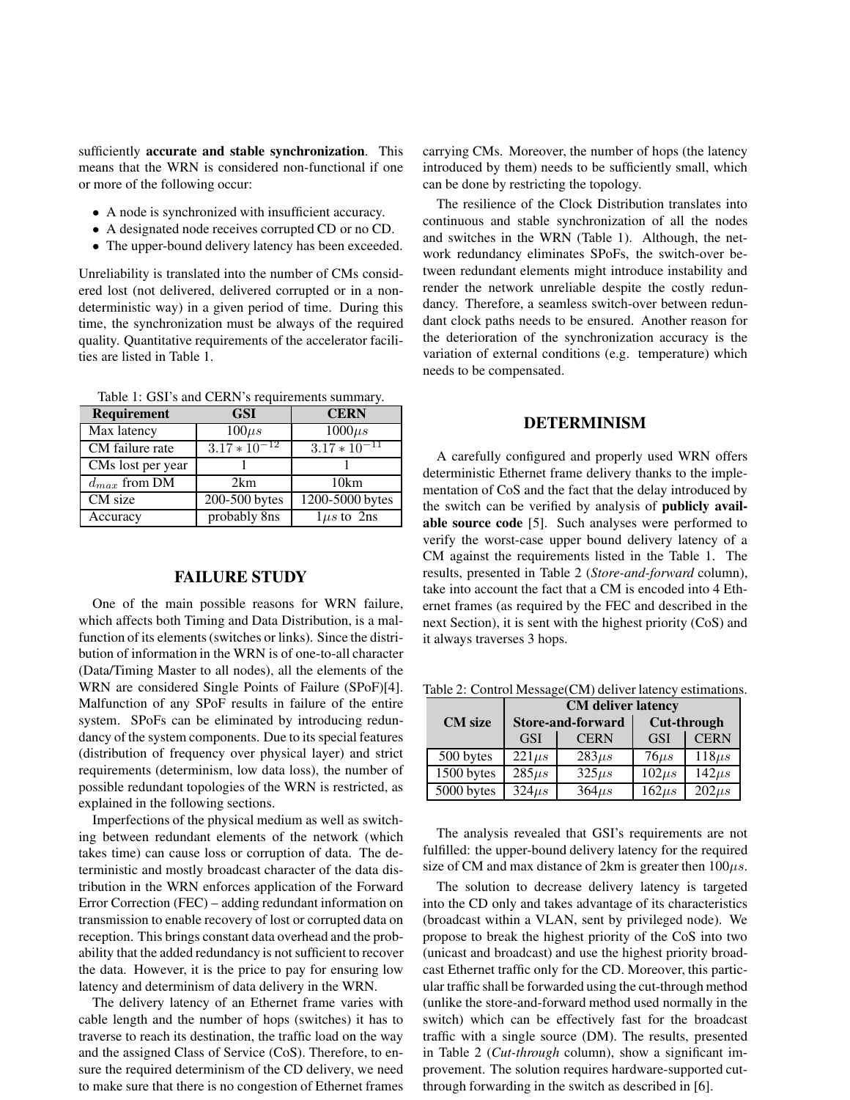sufficiently **accurate and stable synchronization**. This means that the WRN is considered non-functional if one or more of the following occur:

- A node is synchronized with insufficient accuracy.
- A designated node receives corrupted CD or no CD.
- The upper-bound delivery latency has been exceeded.

Unreliability is translated into the number of CMs considered lost (not delivered, delivered corrupted or in a nondeterministic way) in a given period of time. During this time, the synchronization must be always of the required quality. Quantitative requirements of the accelerator facilities are listed in Table 1.

Table 1: GSI's and CERN's requirements summary. **Requirement GSI CERN**

| Max latency        | $100\mu s$        | $1000\mu s$       |
|--------------------|-------------------|-------------------|
| CM failure rate    | $3.17 * 10^{-12}$ | $3.17 * 10^{-11}$ |
| CMs lost per year  |                   |                   |
| $d_{\max}$ from DM | 2km               | 10km              |
| CM size            | 200-500 bytes     | 1200-5000 bytes   |
| Accuracy           | probably 8ns      | $1\mu s$ to 2ns   |

#### **FAILURE STUDY**

One of the main possible reasons for WRN failure, which affects both Timing and Data Distribution, is a malfunction of its elements (switches or links). Since the distribution of information in the WRN is of one-to-all character (Data/Timing Master to all nodes), all the elements of the WRN are considered Single Points of Failure (SPoF)[4]. Malfunction of any SPoF results in failure of the entire system. SPoFs can be eliminated by introducing redundancy of the system components. Due to its special features (distribution of frequency over physical layer) and strict requirements (determinism, low data loss), the number of possible redundant topologies of the WRN is restricted, as explained in the following sections.

Imperfections of the physical medium as well as switching between redundant elements of the network (which takes time) can cause loss or corruption of data. The deterministic and mostly broadcast character of the data distribution in the WRN enforces application of the Forward Error Correction (FEC) – adding redundant information on transmission to enable recovery of lost or corrupted data on reception. This brings constant data overhead and the probability that the added redundancy is not sufficient to recover the data. However, it is the price to pay for ensuring low latency and determinism of data delivery in the WRN.

The delivery latency of an Ethernet frame varies with cable length and the number of hops (switches) it has to traverse to reach its destination, the traffic load on the way and the assigned Class of Service (CoS). Therefore, to ensure the required determinism of the CD delivery, we need to make sure that there is no congestion of Ethernet frames carrying CMs. Moreover, the number of hops (the latency introduced by them) needs to be sufficiently small, which can be done by restricting the topology.

The resilience of the Clock Distribution translates into continuous and stable synchronization of all the nodes and switches in the WRN (Table 1). Although, the network redundancy eliminates SPoFs, the switch-over between redundant elements might introduce instability and render the network unreliable despite the costly redundancy. Therefore, a seamless switch-over between redundant clock paths needs to be ensured. Another reason for the deterioration of the synchronization accuracy is the variation of external conditions (e.g. temperature) which needs to be compensated.

# **DETERMINISM**

A carefully configured and properly used WRN offers deterministic Ethernet frame delivery thanks to the implementation of CoS and the fact that the delay introduced by the switch can be verified by analysis of **publicly available source code** [5]. Such analyses were performed to verify the worst-case upper bound delivery latency of a CM against the requirements listed in the Table 1. The results, presented in Table 2 (*Store-and-forward* column), take into account the fact that a CM is encoded into 4 Ethernet frames (as required by the FEC and described in the next Section), it is sent with the highest priority (CoS) and it always traverses 3 hops.

Table 2: Control Message(CM) deliver latency estimations.

|                | <b>CM</b> deliver latency |             |                    |             |
|----------------|---------------------------|-------------|--------------------|-------------|
| <b>CM</b> size | <b>Store-and-forward</b>  |             | <b>Cut-through</b> |             |
|                | <b>GSI</b>                | <b>CERN</b> | <b>GSI</b>         | <b>CERN</b> |
| 500 bytes      | $221\mu s$                | $283\mu s$  | $76 \mu s$         | $118\mu s$  |
| 1500 bytes     | $285\mu s$                | $325\mu s$  | $102\mu s$         | $142 \mu s$ |
| 5000 bytes     | $324\mu s$                | $364\mu s$  | $162\mu s$         | $202\mu s$  |

The analysis revealed that GSI's requirements are not fulfilled: the upper-bound delivery latency for the required size of CM and max distance of 2km is greater then  $100\mu s$ .

The solution to decrease delivery latency is targeted into the CD only and takes advantage of its characteristics (broadcast within a VLAN, sent by privileged node). We propose to break the highest priority of the CoS into two (unicast and broadcast) and use the highest priority broadcast Ethernet traffic only for the CD. Moreover, this particular traffic shall be forwarded using the cut-through method (unlike the store-and-forward method used normally in the switch) which can be effectively fast for the broadcast traffic with a single source (DM). The results, presented in Table 2 (*Cut-through* column), show a significant improvement. The solution requires hardware-supported cutthrough forwarding in the switch as described in [6].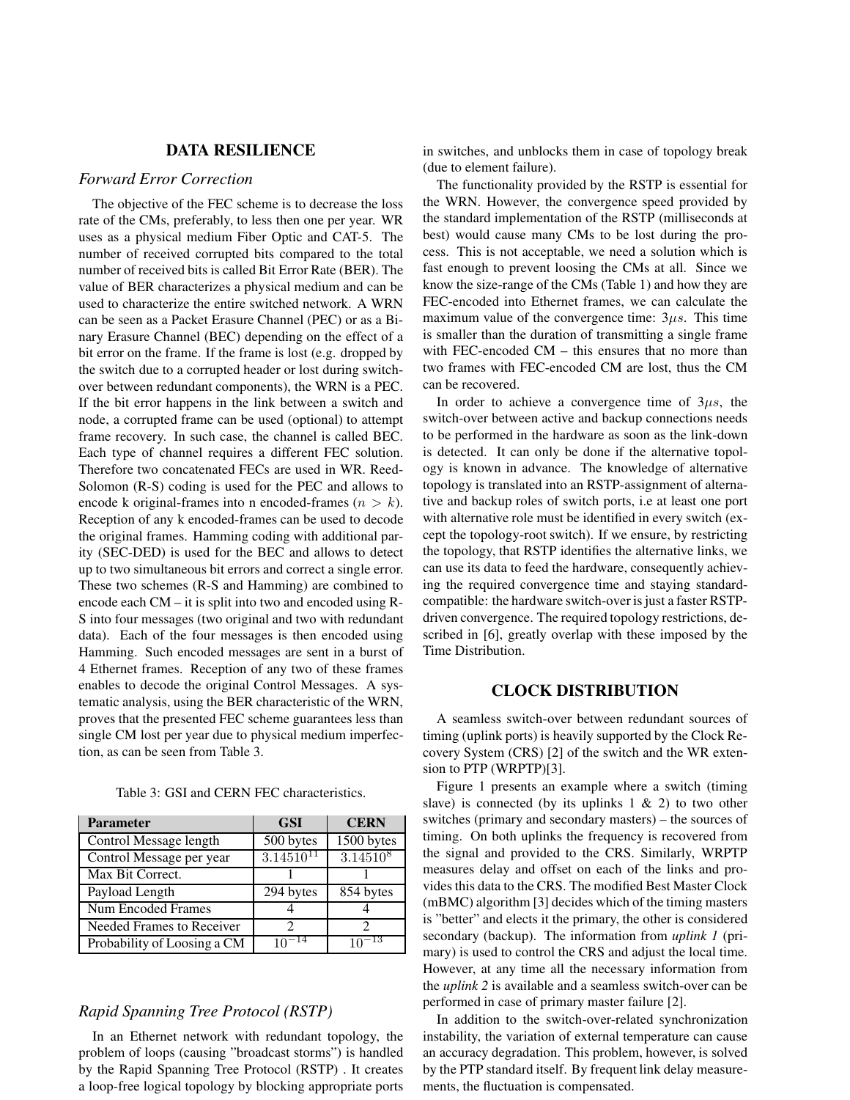### **DATA RESILIENCE**

#### *Forward Error Correction*

The objective of the FEC scheme is to decrease the loss rate of the CMs, preferably, to less then one per year. WR uses as a physical medium Fiber Optic and CAT-5. The number of received corrupted bits compared to the total number of received bits is called Bit Error Rate (BER). The value of BER characterizes a physical medium and can be used to characterize the entire switched network. A WRN can be seen as a Packet Erasure Channel (PEC) or as a Binary Erasure Channel (BEC) depending on the effect of a bit error on the frame. If the frame is lost (e.g. dropped by the switch due to a corrupted header or lost during switchover between redundant components), the WRN is a PEC. If the bit error happens in the link between a switch and node, a corrupted frame can be used (optional) to attempt frame recovery. In such case, the channel is called BEC. Each type of channel requires a different FEC solution. Therefore two concatenated FECs are used in WR. Reed-Solomon (R-S) coding is used for the PEC and allows to encode k original-frames into n encoded-frames  $(n > k)$ . Reception of any k encoded-frames can be used to decode the original frames. Hamming coding with additional parity (SEC-DED) is used for the BEC and allows to detect up to two simultaneous bit errors and correct a single error. These two schemes (R-S and Hamming) are combined to encode each CM – it is split into two and encoded using R-S into four messages (two original and two with redundant data). Each of the four messages is then encoded using Hamming. Such encoded messages are sent in a burst of 4 Ethernet frames. Reception of any two of these frames enables to decode the original Control Messages. A systematic analysis, using the BER characteristic of the WRN, proves that the presented FEC scheme guarantees less than single CM lost per year due to physical medium imperfection, as can be seen from Table 3.

| <b>Parameter</b>            | <b>GSI</b>     | <b>CERN</b>   |
|-----------------------------|----------------|---------------|
| Control Message length      | 500 bytes      | 1500 bytes    |
| Control Message per year    | $3.14510^{11}$ | $3.14510^{8}$ |
| Max Bit Correct.            |                |               |
| Payload Length              | 294 bytes      | 854 bytes     |
| Num Encoded Frames          |                |               |
| Needed Frames to Receiver   |                |               |
| Probability of Loosing a CM | - 14           | -13           |

Table 3: GSI and CERN FEC characteristics.

# *Rapid Spanning Tree Protocol (RSTP)*

In an Ethernet network with redundant topology, the problem of loops (causing "broadcast storms") is handled by the Rapid Spanning Tree Protocol (RSTP) . It creates a loop-free logical topology by blocking appropriate ports in switches, and unblocks them in case of topology break (due to element failure).

The functionality provided by the RSTP is essential for the WRN. However, the convergence speed provided by the standard implementation of the RSTP (milliseconds at best) would cause many CMs to be lost during the process. This is not acceptable, we need a solution which is fast enough to prevent loosing the CMs at all. Since we know the size-range of the CMs (Table 1) and how they are FEC-encoded into Ethernet frames, we can calculate the maximum value of the convergence time:  $3\mu s$ . This time is smaller than the duration of transmitting a single frame with FEC-encoded CM – this ensures that no more than two frames with FEC-encoded CM are lost, thus the CM can be recovered.

In order to achieve a convergence time of  $3\mu s$ , the switch-over between active and backup connections needs to be performed in the hardware as soon as the link-down is detected. It can only be done if the alternative topology is known in advance. The knowledge of alternative topology is translated into an RSTP-assignment of alternative and backup roles of switch ports, i.e at least one port with alternative role must be identified in every switch (except the topology-root switch). If we ensure, by restricting the topology, that RSTP identifies the alternative links, we can use its data to feed the hardware, consequently achieving the required convergence time and staying standardcompatible: the hardware switch-over is just a faster RSTPdriven convergence. The required topology restrictions, described in [6], greatly overlap with these imposed by the Time Distribution.

### **CLOCK DISTRIBUTION**

A seamless switch-over between redundant sources of timing (uplink ports) is heavily supported by the Clock Recovery System (CRS) [2] of the switch and the WR extension to PTP (WRPTP)[3].

Figure 1 presents an example where a switch (timing slave) is connected (by its uplinks  $1 \& 2$ ) to two other switches (primary and secondary masters) – the sources of timing. On both uplinks the frequency is recovered from the signal and provided to the CRS. Similarly, WRPTP measures delay and offset on each of the links and provides this data to the CRS. The modified Best Master Clock (mBMC) algorithm [3] decides which of the timing masters is "better" and elects it the primary, the other is considered secondary (backup). The information from *uplink 1* (primary) is used to control the CRS and adjust the local time. However, at any time all the necessary information from the *uplink 2* is available and a seamless switch-over can be performed in case of primary master failure [2].

In addition to the switch-over-related synchronization instability, the variation of external temperature can cause an accuracy degradation. This problem, however, is solved by the PTP standard itself. By frequent link delay measurements, the fluctuation is compensated.